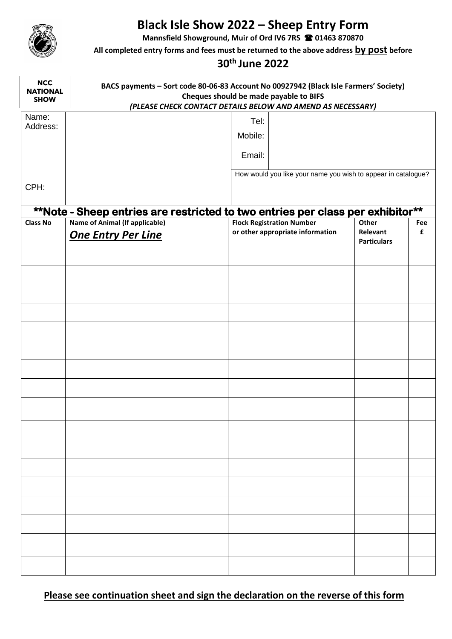

## **Black Isle Show 2022 – Sheep Entry Form**

**Mannsfield Showground, Muir of Ord IV6 7RS 01463 870870**

**All completed entry forms and fees must be returned to the above address by post before**

## **30th June 2022**

| <b>NCC</b><br><b>NATIONAL</b><br><b>SHOW</b> | BACS payments - Sort code 80-06-83 Account No 00927942 (Black Isle Farmers' Society)<br>Cheques should be made payable to BIFS<br>(PLEASE CHECK CONTACT DETAILS BELOW AND AMEND AS NECESSARY) |                                                               |                    |     |  |  |  |  |
|----------------------------------------------|-----------------------------------------------------------------------------------------------------------------------------------------------------------------------------------------------|---------------------------------------------------------------|--------------------|-----|--|--|--|--|
| Name:                                        |                                                                                                                                                                                               |                                                               |                    |     |  |  |  |  |
| Address:                                     |                                                                                                                                                                                               | Tel:                                                          |                    |     |  |  |  |  |
|                                              |                                                                                                                                                                                               | Mobile:                                                       |                    |     |  |  |  |  |
|                                              |                                                                                                                                                                                               | Email:                                                        |                    |     |  |  |  |  |
|                                              |                                                                                                                                                                                               | How would you like your name you wish to appear in catalogue? |                    |     |  |  |  |  |
| CPH:                                         |                                                                                                                                                                                               |                                                               |                    |     |  |  |  |  |
|                                              |                                                                                                                                                                                               |                                                               |                    |     |  |  |  |  |
|                                              | **Note - Sheep entries are restricted to two entries per class per exhibitor**                                                                                                                |                                                               |                    |     |  |  |  |  |
| <b>Class No</b>                              | <b>Name of Animal (If applicable)</b>                                                                                                                                                         | <b>Flock Registration Number</b>                              | Other              | Fee |  |  |  |  |
|                                              | <b>One Entry Per Line</b>                                                                                                                                                                     | or other appropriate information                              | Relevant           | £   |  |  |  |  |
|                                              |                                                                                                                                                                                               |                                                               | <b>Particulars</b> |     |  |  |  |  |
|                                              |                                                                                                                                                                                               |                                                               |                    |     |  |  |  |  |
|                                              |                                                                                                                                                                                               |                                                               |                    |     |  |  |  |  |
|                                              |                                                                                                                                                                                               |                                                               |                    |     |  |  |  |  |
|                                              |                                                                                                                                                                                               |                                                               |                    |     |  |  |  |  |
|                                              |                                                                                                                                                                                               |                                                               |                    |     |  |  |  |  |
|                                              |                                                                                                                                                                                               |                                                               |                    |     |  |  |  |  |
|                                              |                                                                                                                                                                                               |                                                               |                    |     |  |  |  |  |
|                                              |                                                                                                                                                                                               |                                                               |                    |     |  |  |  |  |
|                                              |                                                                                                                                                                                               |                                                               |                    |     |  |  |  |  |
|                                              |                                                                                                                                                                                               |                                                               |                    |     |  |  |  |  |
|                                              |                                                                                                                                                                                               |                                                               |                    |     |  |  |  |  |
|                                              |                                                                                                                                                                                               |                                                               |                    |     |  |  |  |  |
|                                              |                                                                                                                                                                                               |                                                               |                    |     |  |  |  |  |
|                                              |                                                                                                                                                                                               |                                                               |                    |     |  |  |  |  |
|                                              |                                                                                                                                                                                               |                                                               |                    |     |  |  |  |  |
|                                              |                                                                                                                                                                                               |                                                               |                    |     |  |  |  |  |
|                                              |                                                                                                                                                                                               |                                                               |                    |     |  |  |  |  |
|                                              |                                                                                                                                                                                               |                                                               |                    |     |  |  |  |  |
|                                              |                                                                                                                                                                                               |                                                               |                    |     |  |  |  |  |
|                                              |                                                                                                                                                                                               |                                                               |                    |     |  |  |  |  |
|                                              |                                                                                                                                                                                               |                                                               |                    |     |  |  |  |  |

**Please see continuation sheet and sign the declaration on the reverse of this form**